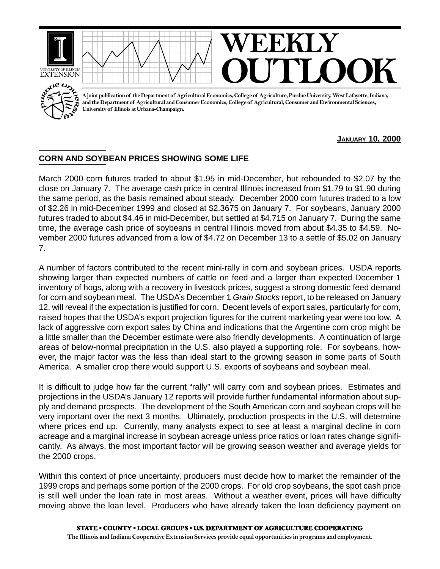

**JANUARY 10, 2000**

## **CORN AND SOYBEAN PRICES SHOWING SOME LIFE**

March 2000 corn futures traded to about \$1.95 in mid-December, but rebounded to \$2.07 by the close on January 7. The average cash price in central Illinois increased from \$1.79 to \$1.90 during the same period, as the basis remained about steady. December 2000 corn futures traded to a low of \$2.26 in mid-December 1999 and closed at \$2.3675 on January 7. For soybeans, January 2000 futures traded to about \$4.46 in mid-December, but settled at \$4.715 on January 7. During the same time, the average cash price of soybeans in central Illinois moved from about \$4.35 to \$4.59. November 2000 futures advanced from a low of \$4.72 on December 13 to a settle of \$5.02 on January 7.

A number of factors contributed to the recent mini-rally in corn and soybean prices. USDA reports showing larger than expected numbers of cattle on feed and a larger than expected December 1 inventory of hogs, along with a recovery in livestock prices, suggest a strong domestic feed demand for corn and soybean meal. The USDA's December 1 Grain Stocks report, to be released on January 12, will reveal if the expectation is justified for corn. Decent levels of export sales, particularly for corn, raised hopes that the USDA's export projection figures for the current marketing year were too low. A lack of aggressive corn export sales by China and indications that the Argentine corn crop might be a little smaller than the December estimate were also friendly developments. A continuation of large areas of below-normal precipitation in the U.S. also played a supporting role. For soybeans, however, the major factor was the less than ideal start to the growing season in some parts of South America. A smaller crop there would support U.S. exports of soybeans and soybean meal.

It is difficult to judge how far the current "rally" will carry corn and soybean prices. Estimates and projections in the USDA's January 12 reports will provide further fundamental information about supply and demand prospects. The development of the South American corn and soybean crops will be very important over the next 3 months. Ultimately, production prospects in the U.S. will determine where prices end up. Currently, many analysts expect to see at least a marginal decline in corn acreage and a marginal increase in soybean acreage unless price ratios or loan rates change significantly. As always, the most important factor will be growing season weather and average yields for the 2000 crops.

Within this context of price uncertainty, producers must decide how to market the remainder of the 1999 crops and perhaps some portion of the 2000 crops. For old crop soybeans, the spot cash price is still well under the loan rate in most areas. Without a weather event, prices will have difficulty moving above the loan level. Producers who have already taken the loan deficiency payment on